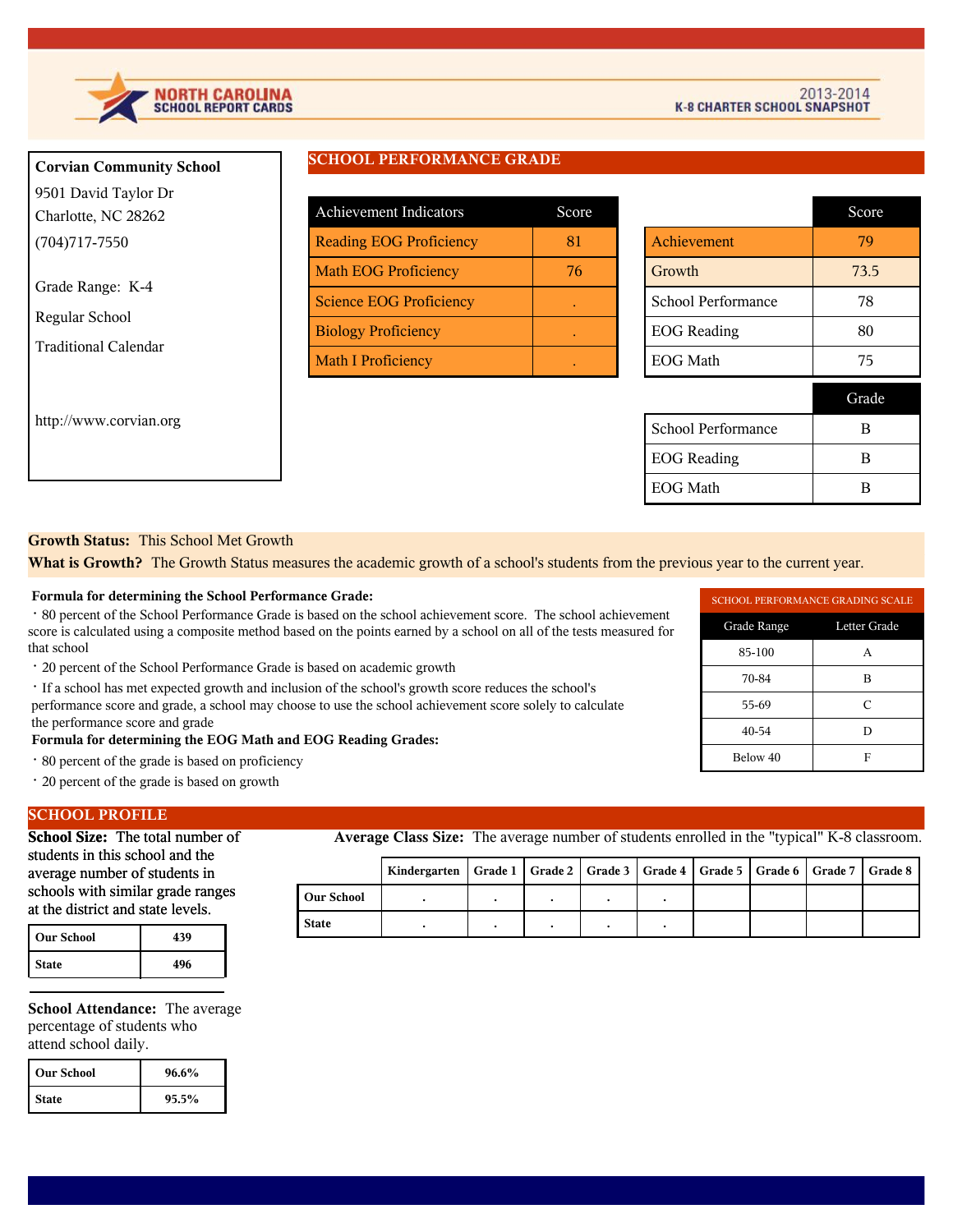

**Corvian Community School**

| 9501 David Taylor Dr               |                         |
|------------------------------------|-------------------------|
| Charlotte, NC 28262                | Achievement Ind         |
| $(704)717 - 7550$                  | Reading EOG Pr          |
| Grade Range: K-4<br>Regular School | Math EOG Profi          |
|                                    | <b>Science EOG Pr</b>   |
| <b>Traditional Calendar</b>        | <b>Biology Proficie</b> |
|                                    | Math I Proficien        |
| http://www.corvian.org             |                         |

# **SCHOOL PERFORMANCE GRADE**

| <b>Achievement Indicators</b>  | Score |
|--------------------------------|-------|
| <b>Reading EOG Proficiency</b> | 81    |
| <b>Math EOG Proficiency</b>    | 76    |
| <b>Science EOG Proficiency</b> |       |
| <b>Biology Proficiency</b>     |       |
| <b>Math I Proficiency</b>      |       |

|                    | Score |
|--------------------|-------|
| Achievement        | 79    |
| Growth             | 73.5  |
| School Performance | 78    |
| <b>EOG</b> Reading | 80    |
| <b>EOG Math</b>    | 75    |
|                    | Grade |
| School Performance | R     |
| <b>EOG</b> Reading | R     |
| <b>EOG Math</b>    | R     |

# **Growth Status:** This School Met Growth

**What is Growth?** The Growth Status measures the academic growth of a school's students from the previous year to the current year.

#### **Formula for determining the School Performance Grade:**

 · 80 percent of the School Performance Grade is based on the school achievement score. The school achievement score is calculated using a composite method based on the points earned by a school on all of the tests measured for that school

· 20 percent of the School Performance Grade is based on academic growth

 · If a school has met expected growth and inclusion of the school's growth score reduces the school's performance score and grade, a school may choose to use the school achievement score solely to calculate the performance score and grade

### **Formula for determining the EOG Math and EOG Reading Grades:**

- · 80 percent of the grade is based on proficiency
- · 20 percent of the grade is based on growth

### **SCHOOL PROFILE**

**School Size:** The total number of students in this school and the average number of students in schools with similar grade ranges at the district and state levels.

| Our School   | 439 |
|--------------|-----|
| <b>State</b> | 496 |

**School Attendance:** The average percentage of students who attend school daily.

| l Our School | 96.6% |
|--------------|-------|
| l State      | 95.5% |

**Average Class Size:** The average number of students enrolled in the "typical" K-8 classroom.

|              | Kindergarten   Grade 1   Grade 2   Grade 3   Grade 4   Grade 5   Grade 6   Grade 7   Grade 8 |  |  |  |  |
|--------------|----------------------------------------------------------------------------------------------|--|--|--|--|
| l Our School |                                                                                              |  |  |  |  |
| <b>State</b> |                                                                                              |  |  |  |  |

| <b>SCHOOL PERFORMANCE GRADING SCALE</b> |   |  |  |
|-----------------------------------------|---|--|--|
| Grade Range<br>Letter Grade             |   |  |  |
| 85-100                                  |   |  |  |
| 70-84                                   | в |  |  |
| 55-69                                   | C |  |  |
| 40-54                                   |   |  |  |
| Below 40                                | H |  |  |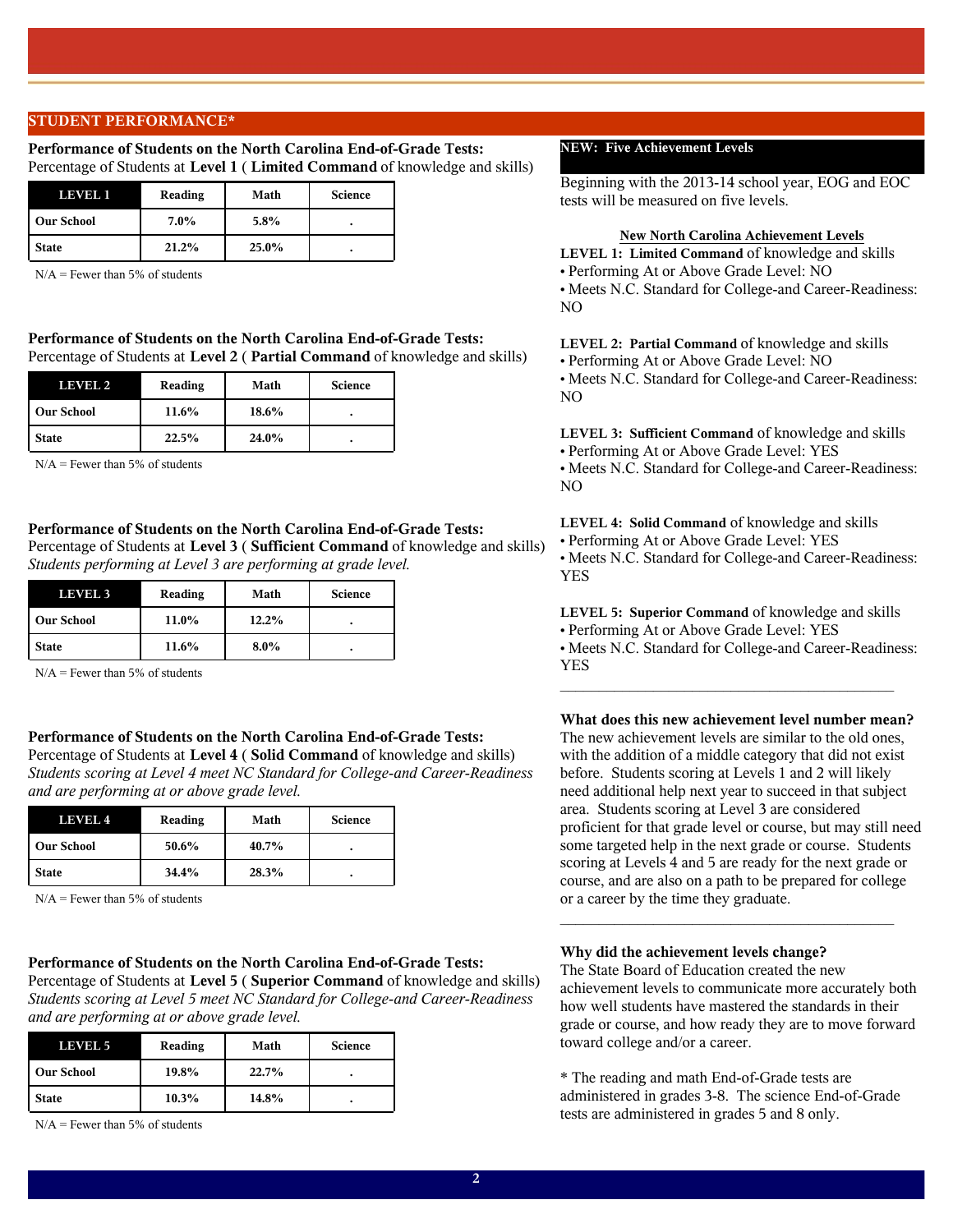### **STUDENT PERFORMANCE\***

#### **Performance of Students on the North Carolina End-of-Grade Tests:**  Percentage of Students at **Level 1** ( **Limited Command** of knowledge and skills)

| LEVEL 1           | Reading | Math     | <b>Science</b> |
|-------------------|---------|----------|----------------|
| <b>Our School</b> | $7.0\%$ | $5.8\%$  |                |
| <b>State</b>      | 21.2%   | $25.0\%$ |                |

 $N/A$  = Fewer than 5% of students

### **Performance of Students on the North Carolina End-of-Grade Tests:**  Percentage of Students at **Level 2** ( **Partial Command** of knowledge and skills)

| LEVEL 2           | Reading | Math  | <b>Science</b> |
|-------------------|---------|-------|----------------|
| <b>Our School</b> | 11.6%   | 18.6% |                |
| <b>State</b>      | 22.5%   | 24.0% | ٠              |

 $N/A$  = Fewer than 5% of students

### **Performance of Students on the North Carolina End-of-Grade Tests:**

Percentage of Students at **Level 3** ( **Sufficient Command** of knowledge and skills) *Students performing at Level 3 are performing at grade level.*

| LEVEL 3           | Reading | Math    | <b>Science</b> |
|-------------------|---------|---------|----------------|
| <b>Our School</b> | 11.0%   | 12.2%   |                |
| <b>State</b>      | 11.6%   | $8.0\%$ |                |

 $N/A =$  Fewer than 5% of students

### **Performance of Students on the North Carolina End-of-Grade Tests:**

Percentage of Students at **Level 4** ( **Solid Command** of knowledge and skills) *Students scoring at Level 4 meet NC Standard for College-and Career-Readiness and are performing at or above grade level.*

| LEVEL 4           | Reading | Math  | <b>Science</b> |
|-------------------|---------|-------|----------------|
| <b>Our School</b> | 50.6%   | 40.7% |                |
| <b>State</b>      | 34.4%   | 28.3% | ٠              |

 $N/A$  = Fewer than 5% of students

#### **Performance of Students on the North Carolina End-of-Grade Tests:**

Percentage of Students at **Level 5** ( **Superior Command** of knowledge and skills) *Students scoring at Level 5 meet NC Standard for College-and Career-Readiness and are performing at or above grade level.*

| LEVEL 5           | Reading | Math  | <b>Science</b> |
|-------------------|---------|-------|----------------|
| <b>Our School</b> | 19.8%   | 22.7% | ٠              |
| <b>State</b>      | 10.3%   | 14.8% |                |

 $N/A$  = Fewer than 5% of students

### **NEW: Five Achievement Levels**

Beginning with the 2013-14 school year, EOG and EOC tests will be measured on five levels.

#### **New North Carolina Achievement Levels**

**LEVEL 1: Limited Command** of knowledge and skills **•** Performing At or Above Grade Level: NO **•** Meets N.C. Standard for College-and Career-Readiness: NO

**LEVEL 2: Partial Command** of knowledge and skills **•** Performing At or Above Grade Level: NO **•** Meets N.C. Standard for College-and Career-Readiness: NO

**LEVEL 3: Sufficient Command** of knowledge and skills **•** Performing At or Above Grade Level: YES **•** Meets N.C. Standard for College-and Career-Readiness: NO

**LEVEL 4: Solid Command** of knowledge and skills **•** Performing At or Above Grade Level: YES **•** Meets N.C. Standard for College-and Career-Readiness: YES

**LEVEL 5: Superior Command** of knowledge and skills **•** Performing At or Above Grade Level: YES **•** Meets N.C. Standard for College-and Career-Readiness: YES

 $\mathcal{L}_\text{max}$  and  $\mathcal{L}_\text{max}$  and  $\mathcal{L}_\text{max}$  and  $\mathcal{L}_\text{max}$  and  $\mathcal{L}_\text{max}$ 

**What does this new achievement level number mean?** The new achievement levels are similar to the old ones, with the addition of a middle category that did not exist before. Students scoring at Levels 1 and 2 will likely need additional help next year to succeed in that subject area. Students scoring at Level 3 are considered proficient for that grade level or course, but may still need some targeted help in the next grade or course. Students scoring at Levels 4 and 5 are ready for the next grade or course, and are also on a path to be prepared for college or a career by the time they graduate.  $\mathcal{L}_\text{max}$  and  $\mathcal{L}_\text{max}$  and  $\mathcal{L}_\text{max}$  and  $\mathcal{L}_\text{max}$  and  $\mathcal{L}_\text{max}$ 

### **Why did the achievement levels change?**

The State Board of Education created the new achievement levels to communicate more accurately both how well students have mastered the standards in their grade or course, and how ready they are to move forward toward college and/or a career.

\* The reading and math End-of-Grade tests are administered in grades 3-8. The science End-of-Grade tests are administered in grades 5 and 8 only.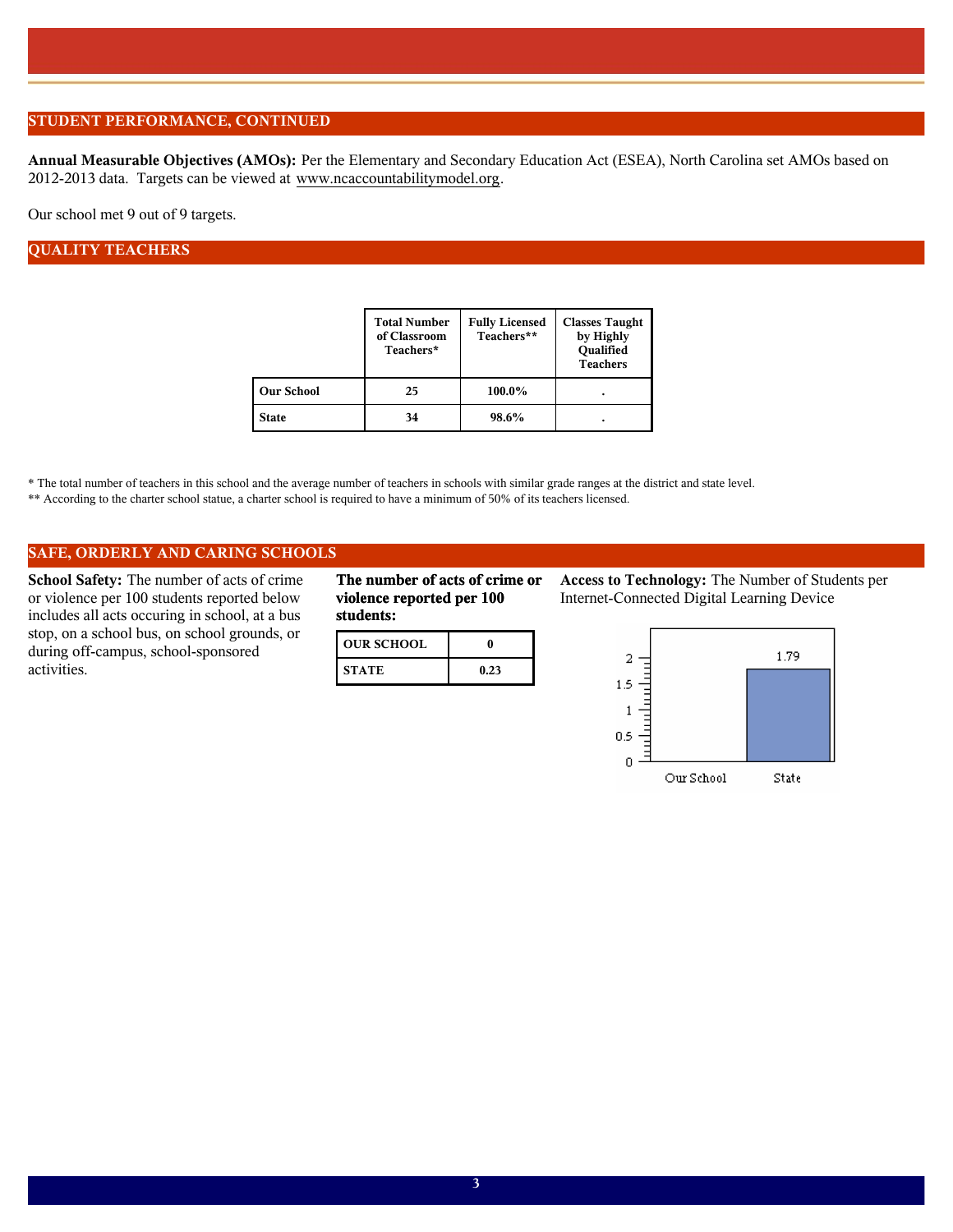## **STUDENT PERFORMANCE, CONTINUED**

**Annual Measurable Objectives (AMOs):** Per the Elementary and Secondary Education Act (ESEA), North Carolina set AMOs based on 2012-2013 data. Targets can be viewed at www.ncaccountabilitymodel.org.

Our school met 9 out of 9 targets.

## **QUALITY TEACHERS**

|                   | <b>Total Number</b><br>of Classroom<br>Teachers* | <b>Fully Licensed</b><br>Teachers** | <b>Classes Taught</b><br>by Highly<br>Qualified<br><b>Teachers</b> |
|-------------------|--------------------------------------------------|-------------------------------------|--------------------------------------------------------------------|
| <b>Our School</b> | 25                                               | 100.0%                              | ٠                                                                  |
| State             | 34                                               | 98.6%                               |                                                                    |

\* The total number of teachers in this school and the average number of teachers in schools with similar grade ranges at the district and state level.

\*\* According to the charter school statue, a charter school is required to have a minimum of 50% of its teachers licensed.

### **SAFE, ORDERLY AND CARING SCHOOLS**

**School Safety:** The number of acts of crime or violence per 100 students reported below includes all acts occuring in school, at a bus stop, on a school bus, on school grounds, or during off-campus, school-sponsored activities.

**The number of acts of crime or violence reported per 100 students:**

| <b>OUR SCHOOL</b> |      |
|-------------------|------|
| <b>STATE</b>      | 0.23 |

**Access to Technology:** The Number of Students per Internet-Connected Digital Learning Device